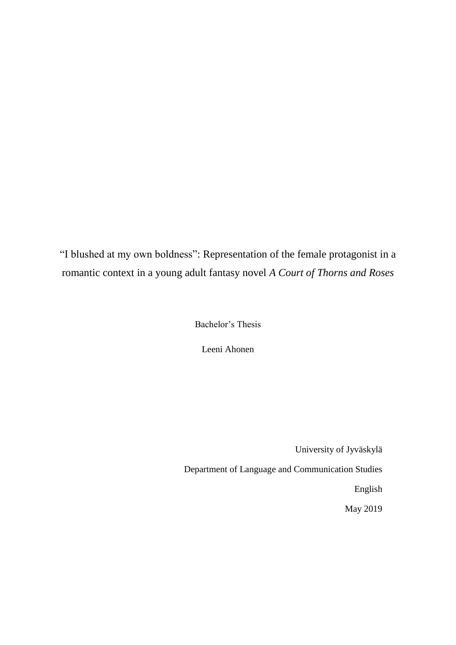<span id="page-0-0"></span>"I blushed at my own boldness": Representation of the female protagonist in a romantic context in a young adult fantasy novel *A Court of Thorns and Roses*

Bachelor's Thesis

Leeni Ahonen

University of Jyväskylä Department of Language and Communication Studies English May 2019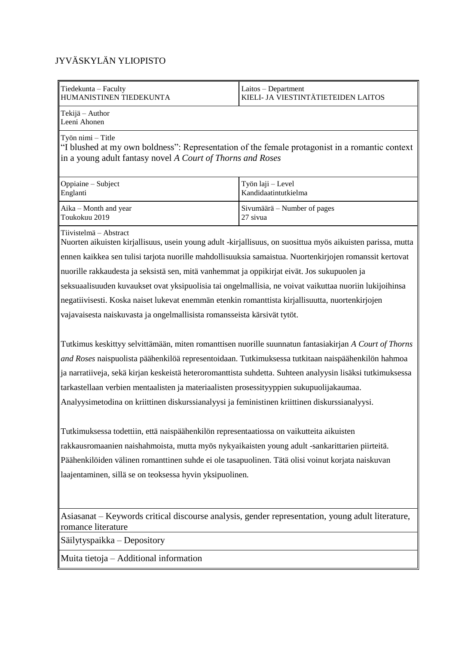# JYVÄSKYLÄN YLIOPISTO

| Tiedekunta - Faculty<br>HUMANISTINEN TIEDEKUNTA                                                                                                                                   | Laitos - Department<br>KIELI- JA VIESTINTÄTIETEIDEN LAITOS |  |  |  |
|-----------------------------------------------------------------------------------------------------------------------------------------------------------------------------------|------------------------------------------------------------|--|--|--|
| Tekijä – Author<br>Leeni Ahonen                                                                                                                                                   |                                                            |  |  |  |
| Työn nimi - Title<br>"I blushed at my own boldness": Representation of the female protagonist in a romantic context<br>in a young adult fantasy novel A Court of Thorns and Roses |                                                            |  |  |  |
| Oppiaine - Subject<br>Englanti                                                                                                                                                    | Työn laji - Level<br>Kandidaatintutkielma                  |  |  |  |
| Aika – Month and year<br>Toukokuu 2019                                                                                                                                            | Sivumäärä – Number of pages<br>27 sivua                    |  |  |  |
| Tiivistelmä – Abstract<br>Nuorten aikuisten kirjallisuus, usein young adult -kirjallisuus, on suosittua myös aikuisten parissa, mutta                                             |                                                            |  |  |  |
| ennen kaikkea sen tulisi tarjota nuorille mahdollisuuksia samaistua. Nuortenkirjojen romanssit kertovat                                                                           |                                                            |  |  |  |
| nuorille rakkaudesta ja seksistä sen, mitä vanhemmat ja oppikirjat eivät. Jos sukupuolen ja                                                                                       |                                                            |  |  |  |
| seksuaalisuuden kuvaukset ovat yksipuolisia tai ongelmallisia, ne voivat vaikuttaa nuoriin lukijoihinsa                                                                           |                                                            |  |  |  |
| negatiivisesti. Koska naiset lukevat enemmän etenkin romanttista kirjallisuutta, nuortenkirjojen                                                                                  |                                                            |  |  |  |
| vajavaisesta naiskuvasta ja ongelmallisista romansseista kärsivät tytöt.                                                                                                          |                                                            |  |  |  |
| Tutkimus keskittyy selvittämään, miten romanttisen nuorille suunnatun fantasiakirjan A Court of Thorns                                                                            |                                                            |  |  |  |
| and Roses naispuolista päähenkilöä representoidaan. Tutkimuksessa tutkitaan naispäähenkilön hahmoa                                                                                |                                                            |  |  |  |
| ja narratiiveja, sekä kirjan keskeistä heteroromanttista suhdetta. Suhteen analyysin lisäksi tutkimuksessa                                                                        |                                                            |  |  |  |
| tarkastellaan verbien mentaalisten ja materiaalisten prosessityyppien sukupuolijakaumaa.                                                                                          |                                                            |  |  |  |
| Analyysimetodina on kriittinen diskurssianalyysi ja feministinen kriittinen diskurssianalyysi.                                                                                    |                                                            |  |  |  |
| Tutkimuksessa todettiin, että naispäähenkilön representaatiossa on vaikutteita aikuisten                                                                                          |                                                            |  |  |  |
| rakkausromaanien naishahmoista, mutta myös nykyaikaisten young adult -sankarittarien piirteitä.                                                                                   |                                                            |  |  |  |
| Päähenkilöiden välinen romanttinen suhde ei ole tasapuolinen. Tätä olisi voinut korjata naiskuvan                                                                                 |                                                            |  |  |  |
| laajentaminen, sillä se on teoksessa hyvin yksipuolinen.                                                                                                                          |                                                            |  |  |  |
| Asiasanat – Keywords critical discourse analysis, gender representation, young adult literature,<br>romance literature                                                            |                                                            |  |  |  |

Säilytyspaikka – Depository

Muita tietoja – Additional information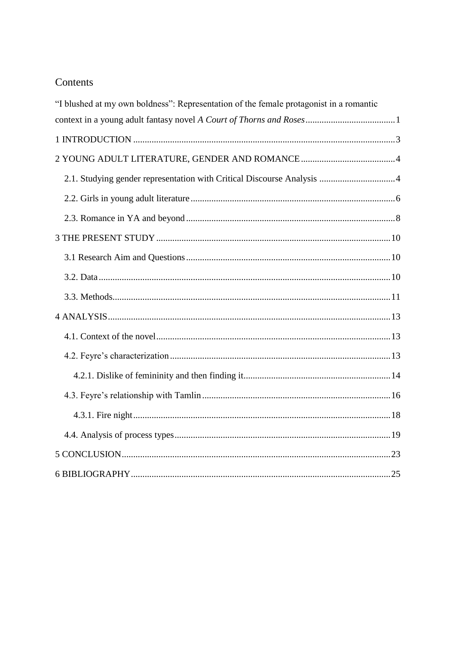# Contents

| "I blushed at my own boldness": Representation of the female protagonist in a romantic |  |
|----------------------------------------------------------------------------------------|--|
|                                                                                        |  |
|                                                                                        |  |
|                                                                                        |  |
|                                                                                        |  |
|                                                                                        |  |
|                                                                                        |  |
|                                                                                        |  |
|                                                                                        |  |
|                                                                                        |  |
|                                                                                        |  |
|                                                                                        |  |
|                                                                                        |  |
|                                                                                        |  |
|                                                                                        |  |
|                                                                                        |  |
|                                                                                        |  |
|                                                                                        |  |
|                                                                                        |  |
|                                                                                        |  |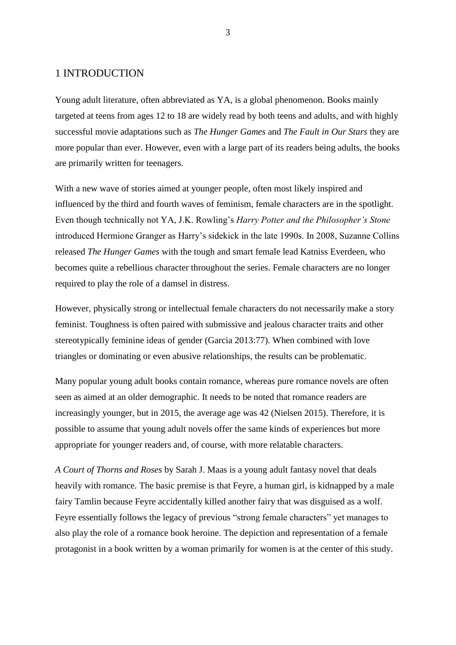# <span id="page-3-0"></span>1 INTRODUCTION

Young adult literature, often abbreviated as YA, is a global phenomenon. Books mainly targeted at teens from ages 12 to 18 are widely read by both teens and adults, and with highly successful movie adaptations such as *The Hunger Games* and *The Fault in Our Stars* they are more popular than ever. However, even with a large part of its readers being adults, the books are primarily written for teenagers.

With a new wave of stories aimed at younger people, often most likely inspired and influenced by the third and fourth waves of feminism, female characters are in the spotlight. Even though technically not YA, J.K. Rowling's *Harry Potter and the Philosopher's Stone* introduced Hermione Granger as Harry's sidekick in the late 1990s. In 2008, Suzanne Collins released *The Hunger Games* with the tough and smart female lead Katniss Everdeen, who becomes quite a rebellious character throughout the series. Female characters are no longer required to play the role of a damsel in distress.

However, physically strong or intellectual female characters do not necessarily make a story feminist. Toughness is often paired with submissive and jealous character traits and other stereotypically feminine ideas of gender (Garcia 2013:77). When combined with love triangles or dominating or even abusive relationships, the results can be problematic.

Many popular young adult books contain romance, whereas pure romance novels are often seen as aimed at an older demographic. It needs to be noted that romance readers are increasingly younger, but in 2015, the average age was 42 (Nielsen 2015). Therefore, it is possible to assume that young adult novels offer the same kinds of experiences but more appropriate for younger readers and, of course, with more relatable characters.

*A Court of Thorns and Roses* by Sarah J. Maas is a young adult fantasy novel that deals heavily with romance. The basic premise is that Feyre, a human girl, is kidnapped by a male fairy Tamlin because Feyre accidentally killed another fairy that was disguised as a wolf. Feyre essentially follows the legacy of previous "strong female characters" yet manages to also play the role of a romance book heroine. The depiction and representation of a female protagonist in a book written by a woman primarily for women is at the center of this study.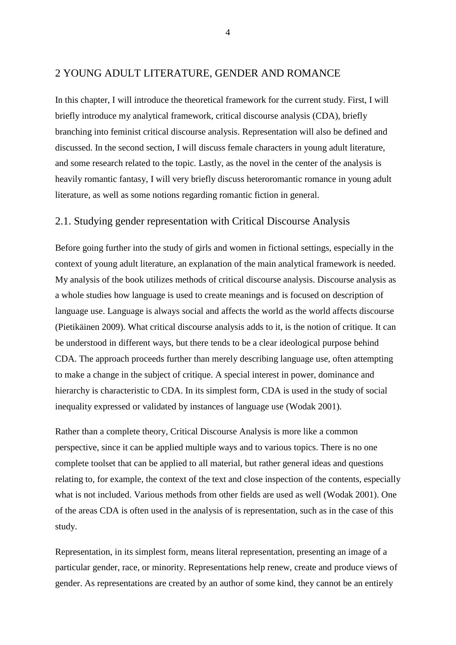# <span id="page-4-0"></span>2 YOUNG ADULT LITERATURE, GENDER AND ROMANCE

In this chapter, I will introduce the theoretical framework for the current study. First, I will briefly introduce my analytical framework, critical discourse analysis (CDA), briefly branching into feminist critical discourse analysis. Representation will also be defined and discussed. In the second section, I will discuss female characters in young adult literature, and some research related to the topic. Lastly, as the novel in the center of the analysis is heavily romantic fantasy, I will very briefly discuss heteroromantic romance in young adult literature, as well as some notions regarding romantic fiction in general.

#### <span id="page-4-1"></span>2.1. Studying gender representation with Critical Discourse Analysis

Before going further into the study of girls and women in fictional settings, especially in the context of young adult literature, an explanation of the main analytical framework is needed. My analysis of the book utilizes methods of critical discourse analysis. Discourse analysis as a whole studies how language is used to create meanings and is focused on description of language use. Language is always social and affects the world as the world affects discourse (Pietikäinen 2009). What critical discourse analysis adds to it, is the notion of critique. It can be understood in different ways, but there tends to be a clear ideological purpose behind CDA. The approach proceeds further than merely describing language use, often attempting to make a change in the subject of critique. A special interest in power, dominance and hierarchy is characteristic to CDA. In its simplest form, CDA is used in the study of social inequality expressed or validated by instances of language use (Wodak 2001).

Rather than a complete theory, Critical Discourse Analysis is more like a common perspective, since it can be applied multiple ways and to various topics. There is no one complete toolset that can be applied to all material, but rather general ideas and questions relating to, for example, the context of the text and close inspection of the contents, especially what is not included. Various methods from other fields are used as well (Wodak 2001). One of the areas CDA is often used in the analysis of is representation, such as in the case of this study.

Representation, in its simplest form, means literal representation, presenting an image of a particular gender, race, or minority. Representations help renew, create and produce views of gender. As representations are created by an author of some kind, they cannot be an entirely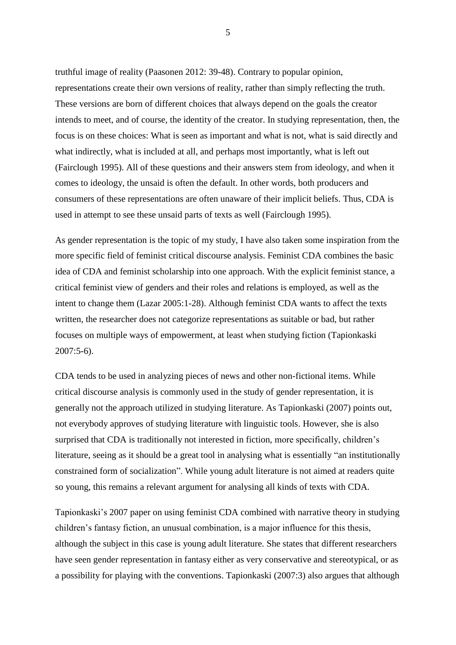truthful image of reality (Paasonen 2012: 39-48). Contrary to popular opinion, representations create their own versions of reality, rather than simply reflecting the truth. These versions are born of different choices that always depend on the goals the creator intends to meet, and of course, the identity of the creator. In studying representation, then, the focus is on these choices: What is seen as important and what is not, what is said directly and what indirectly, what is included at all, and perhaps most importantly, what is left out (Fairclough 1995). All of these questions and their answers stem from ideology, and when it comes to ideology, the unsaid is often the default. In other words, both producers and consumers of these representations are often unaware of their implicit beliefs. Thus, CDA is used in attempt to see these unsaid parts of texts as well (Fairclough 1995).

As gender representation is the topic of my study, I have also taken some inspiration from the more specific field of feminist critical discourse analysis. Feminist CDA combines the basic idea of CDA and feminist scholarship into one approach. With the explicit feminist stance, a critical feminist view of genders and their roles and relations is employed, as well as the intent to change them (Lazar 2005:1-28). Although feminist CDA wants to affect the texts written, the researcher does not categorize representations as suitable or bad, but rather focuses on multiple ways of empowerment, at least when studying fiction (Tapionkaski 2007:5-6).

CDA tends to be used in analyzing pieces of news and other non-fictional items. While critical discourse analysis is commonly used in the study of gender representation, it is generally not the approach utilized in studying literature. As Tapionkaski (2007) points out, not everybody approves of studying literature with linguistic tools. However, she is also surprised that CDA is traditionally not interested in fiction, more specifically, children's literature, seeing as it should be a great tool in analysing what is essentially "an institutionally constrained form of socialization". While young adult literature is not aimed at readers quite so young, this remains a relevant argument for analysing all kinds of texts with CDA.

Tapionkaski's 2007 paper on using feminist CDA combined with narrative theory in studying children's fantasy fiction, an unusual combination, is a major influence for this thesis, although the subject in this case is young adult literature. She states that different researchers have seen gender representation in fantasy either as very conservative and stereotypical, or as a possibility for playing with the conventions. Tapionkaski (2007:3) also argues that although

5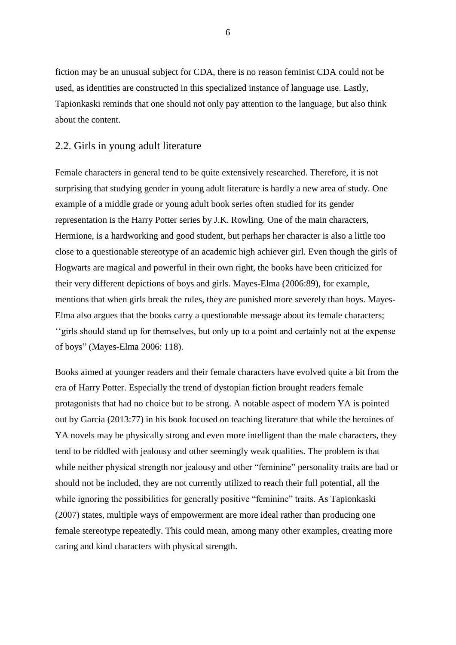fiction may be an unusual subject for CDA, there is no reason feminist CDA could not be used, as identities are constructed in this specialized instance of language use. Lastly, Tapionkaski reminds that one should not only pay attention to the language, but also think about the content.

#### <span id="page-6-0"></span>2.2. Girls in young adult literature

Female characters in general tend to be quite extensively researched. Therefore, it is not surprising that studying gender in young adult literature is hardly a new area of study. One example of a middle grade or young adult book series often studied for its gender representation is the Harry Potter series by J.K. Rowling. One of the main characters, Hermione, is a hardworking and good student, but perhaps her character is also a little too close to a questionable stereotype of an academic high achiever girl. Even though the girls of Hogwarts are magical and powerful in their own right, the books have been criticized for their very different depictions of boys and girls. Mayes-Elma (2006:89), for example, mentions that when girls break the rules, they are punished more severely than boys. Mayes-Elma also argues that the books carry a questionable message about its female characters; ''girls should stand up for themselves, but only up to a point and certainly not at the expense of boys" (Mayes-Elma 2006: 118).

Books aimed at younger readers and their female characters have evolved quite a bit from the era of Harry Potter. Especially the trend of dystopian fiction brought readers female protagonists that had no choice but to be strong. A notable aspect of modern YA is pointed out by Garcia (2013:77) in his book focused on teaching literature that while the heroines of YA novels may be physically strong and even more intelligent than the male characters, they tend to be riddled with jealousy and other seemingly weak qualities. The problem is that while neither physical strength nor jealousy and other "feminine" personality traits are bad or should not be included, they are not currently utilized to reach their full potential, all the while ignoring the possibilities for generally positive "feminine" traits. As Tapionkaski (2007) states, multiple ways of empowerment are more ideal rather than producing one female stereotype repeatedly. This could mean, among many other examples, creating more caring and kind characters with physical strength.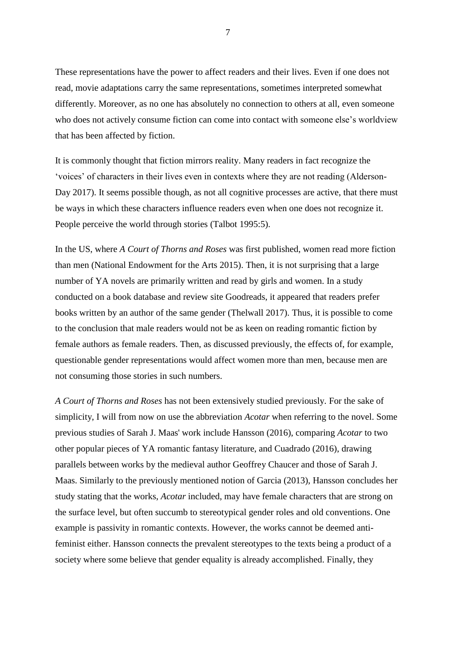These representations have the power to affect readers and their lives. Even if one does not read, movie adaptations carry the same representations, sometimes interpreted somewhat differently. Moreover, as no one has absolutely no connection to others at all, even someone who does not actively consume fiction can come into contact with someone else's worldview that has been affected by fiction.

It is commonly thought that fiction mirrors reality. Many readers in fact recognize the 'voices' of characters in their lives even in contexts where they are not reading (Alderson-Day 2017). It seems possible though, as not all cognitive processes are active, that there must be ways in which these characters influence readers even when one does not recognize it. People perceive the world through stories (Talbot 1995:5).

In the US, where *A Court of Thorns and Roses* was first published, women read more fiction than men (National Endowment for the Arts 2015). Then, it is not surprising that a large number of YA novels are primarily written and read by girls and women. In a study conducted on a book database and review site Goodreads, it appeared that readers prefer books written by an author of the same gender (Thelwall 2017). Thus, it is possible to come to the conclusion that male readers would not be as keen on reading romantic fiction by female authors as female readers. Then, as discussed previously, the effects of, for example, questionable gender representations would affect women more than men, because men are not consuming those stories in such numbers.

*A Court of Thorns and Roses* has not been extensively studied previously. For the sake of simplicity, I will from now on use the abbreviation *Acotar* when referring to the novel. Some previous studies of Sarah J. Maas' work include Hansson (2016), comparing *Acotar* to two other popular pieces of YA romantic fantasy literature, and Cuadrado (2016), drawing parallels between works by the medieval author Geoffrey Chaucer and those of Sarah J. Maas. Similarly to the previously mentioned notion of Garcia (2013), Hansson concludes her study stating that the works, *Acotar* included, may have female characters that are strong on the surface level, but often succumb to stereotypical gender roles and old conventions. One example is passivity in romantic contexts. However, the works cannot be deemed antifeminist either. Hansson connects the prevalent stereotypes to the texts being a product of a society where some believe that gender equality is already accomplished. Finally, they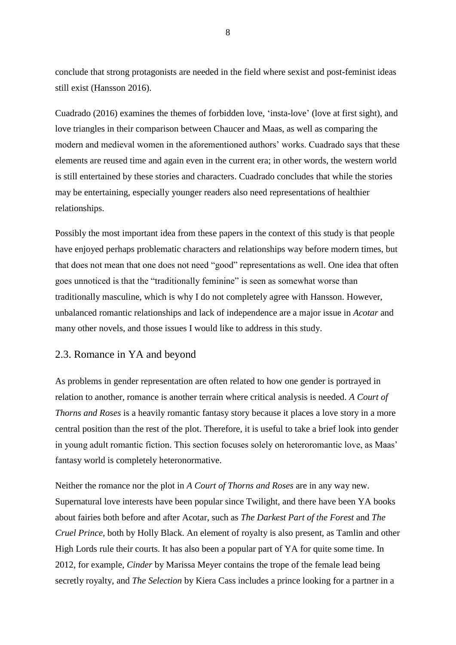conclude that strong protagonists are needed in the field where sexist and post-feminist ideas still exist (Hansson 2016).

Cuadrado (2016) examines the themes of forbidden love, 'insta-love' (love at first sight), and love triangles in their comparison between Chaucer and Maas, as well as comparing the modern and medieval women in the aforementioned authors' works. Cuadrado says that these elements are reused time and again even in the current era; in other words, the western world is still entertained by these stories and characters. Cuadrado concludes that while the stories may be entertaining, especially younger readers also need representations of healthier relationships.

Possibly the most important idea from these papers in the context of this study is that people have enjoyed perhaps problematic characters and relationships way before modern times, but that does not mean that one does not need "good" representations as well. One idea that often goes unnoticed is that the "traditionally feminine" is seen as somewhat worse than traditionally masculine, which is why I do not completely agree with Hansson. However, unbalanced romantic relationships and lack of independence are a major issue in *Acotar* and many other novels, and those issues I would like to address in this study.

# <span id="page-8-0"></span>2.3. Romance in YA and beyond

As problems in gender representation are often related to how one gender is portrayed in relation to another, romance is another terrain where critical analysis is needed. *A Court of Thorns and Roses* is a heavily romantic fantasy story because it places a love story in a more central position than the rest of the plot. Therefore, it is useful to take a brief look into gender in young adult romantic fiction. This section focuses solely on heteroromantic love, as Maas' fantasy world is completely heteronormative.

Neither the romance nor the plot in *A Court of Thorns and Roses* are in any way new. Supernatural love interests have been popular since Twilight, and there have been YA books about fairies both before and after Acotar, such as *The Darkest Part of the Forest* and *The Cruel Prince,* both by Holly Black. An element of royalty is also present, as Tamlin and other High Lords rule their courts. It has also been a popular part of YA for quite some time. In 2012, for example, *Cinder* by Marissa Meyer contains the trope of the female lead being secretly royalty, and *The Selection* by Kiera Cass includes a prince looking for a partner in a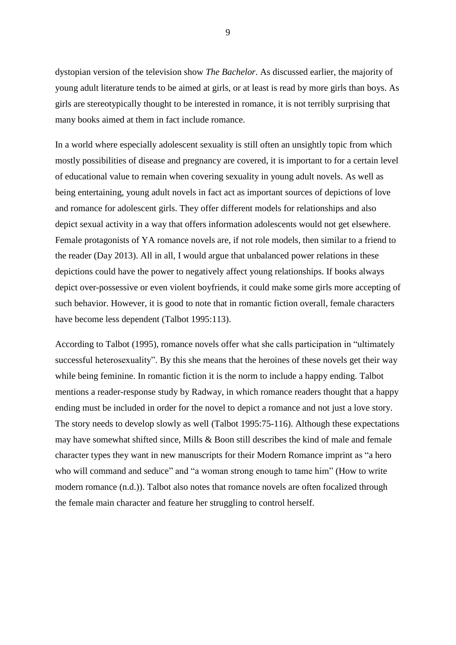dystopian version of the television show *The Bachelor*. As discussed earlier, the majority of young adult literature tends to be aimed at girls, or at least is read by more girls than boys. As girls are stereotypically thought to be interested in romance, it is not terribly surprising that many books aimed at them in fact include romance.

In a world where especially adolescent sexuality is still often an unsightly topic from which mostly possibilities of disease and pregnancy are covered, it is important to for a certain level of educational value to remain when covering sexuality in young adult novels. As well as being entertaining, young adult novels in fact act as important sources of depictions of love and romance for adolescent girls. They offer different models for relationships and also depict sexual activity in a way that offers information adolescents would not get elsewhere. Female protagonists of YA romance novels are, if not role models, then similar to a friend to the reader (Day 2013). All in all, I would argue that unbalanced power relations in these depictions could have the power to negatively affect young relationships. If books always depict over-possessive or even violent boyfriends, it could make some girls more accepting of such behavior. However, it is good to note that in romantic fiction overall, female characters have become less dependent (Talbot 1995:113).

According to Talbot (1995), romance novels offer what she calls participation in "ultimately successful heterosexuality". By this she means that the heroines of these novels get their way while being feminine. In romantic fiction it is the norm to include a happy ending. Talbot mentions a reader-response study by Radway, in which romance readers thought that a happy ending must be included in order for the novel to depict a romance and not just a love story. The story needs to develop slowly as well (Talbot 1995:75-116). Although these expectations may have somewhat shifted since, Mills & Boon still describes the kind of male and female character types they want in new manuscripts for their Modern Romance imprint as "a hero who will command and seduce" and "a woman strong enough to tame him" (How to write modern romance (n.d.)). Talbot also notes that romance novels are often focalized through the female main character and feature her struggling to control herself.

9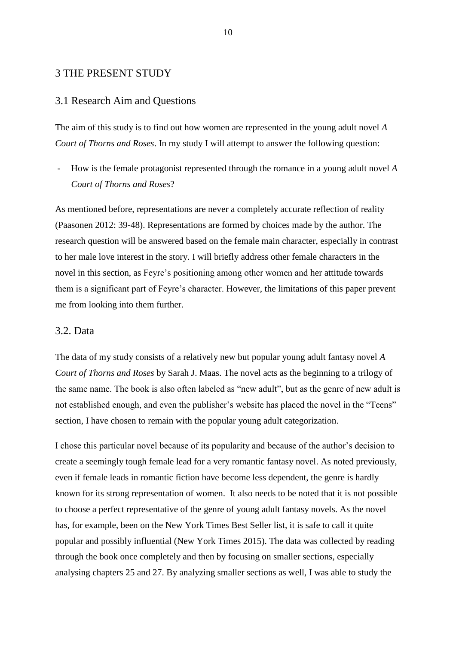## <span id="page-10-0"></span>3 THE PRESENT STUDY

#### <span id="page-10-1"></span>3.1 Research Aim and Questions

The aim of this study is to find out how women are represented in the young adult novel *A Court of Thorns and Roses*. In my study I will attempt to answer the following question:

- How is the female protagonist represented through the romance in a young adult novel *A Court of Thorns and Roses*?

As mentioned before, representations are never a completely accurate reflection of reality (Paasonen 2012: 39-48). Representations are formed by choices made by the author. The research question will be answered based on the female main character, especially in contrast to her male love interest in the story. I will briefly address other female characters in the novel in this section, as Feyre's positioning among other women and her attitude towards them is a significant part of Feyre's character. However, the limitations of this paper prevent me from looking into them further.

#### <span id="page-10-2"></span>3.2. Data

The data of my study consists of a relatively new but popular young adult fantasy novel *A Court of Thorns and Roses* by Sarah J. Maas. The novel acts as the beginning to a trilogy of the same name. The book is also often labeled as "new adult", but as the genre of new adult is not established enough, and even the publisher's website has placed the novel in the "Teens" section, I have chosen to remain with the popular young adult categorization.

I chose this particular novel because of its popularity and because of the author's decision to create a seemingly tough female lead for a very romantic fantasy novel. As noted previously, even if female leads in romantic fiction have become less dependent, the genre is hardly known for its strong representation of women. It also needs to be noted that it is not possible to choose a perfect representative of the genre of young adult fantasy novels. As the novel has, for example, been on the New York Times Best Seller list, it is safe to call it quite popular and possibly influential (New York Times 2015). The data was collected by reading through the book once completely and then by focusing on smaller sections, especially analysing chapters 25 and 27. By analyzing smaller sections as well, I was able to study the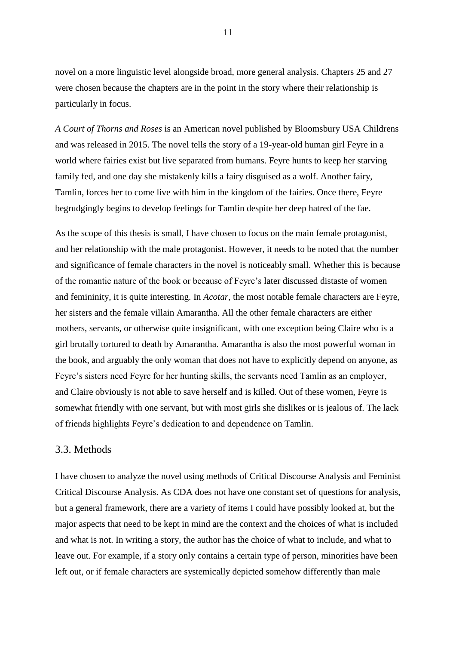novel on a more linguistic level alongside broad, more general analysis. Chapters 25 and 27 were chosen because the chapters are in the point in the story where their relationship is particularly in focus.

*A Court of Thorns and Roses* is an American novel published by Bloomsbury USA Childrens and was released in 2015. The novel tells the story of a 19-year-old human girl Feyre in a world where fairies exist but live separated from humans. Feyre hunts to keep her starving family fed, and one day she mistakenly kills a fairy disguised as a wolf. Another fairy, Tamlin, forces her to come live with him in the kingdom of the fairies. Once there, Feyre begrudgingly begins to develop feelings for Tamlin despite her deep hatred of the fae.

As the scope of this thesis is small, I have chosen to focus on the main female protagonist, and her relationship with the male protagonist. However, it needs to be noted that the number and significance of female characters in the novel is noticeably small. Whether this is because of the romantic nature of the book or because of Feyre's later discussed distaste of women and femininity, it is quite interesting. In *Acotar*, the most notable female characters are Feyre, her sisters and the female villain Amarantha. All the other female characters are either mothers, servants, or otherwise quite insignificant, with one exception being Claire who is a girl brutally tortured to death by Amarantha. Amarantha is also the most powerful woman in the book, and arguably the only woman that does not have to explicitly depend on anyone, as Feyre's sisters need Feyre for her hunting skills, the servants need Tamlin as an employer, and Claire obviously is not able to save herself and is killed. Out of these women, Feyre is somewhat friendly with one servant, but with most girls she dislikes or is jealous of. The lack of friends highlights Feyre's dedication to and dependence on Tamlin.

#### <span id="page-11-0"></span>3.3. Methods

I have chosen to analyze the novel using methods of Critical Discourse Analysis and Feminist Critical Discourse Analysis. As CDA does not have one constant set of questions for analysis, but a general framework, there are a variety of items I could have possibly looked at, but the major aspects that need to be kept in mind are the context and the choices of what is included and what is not. In writing a story, the author has the choice of what to include, and what to leave out. For example, if a story only contains a certain type of person, minorities have been left out, or if female characters are systemically depicted somehow differently than male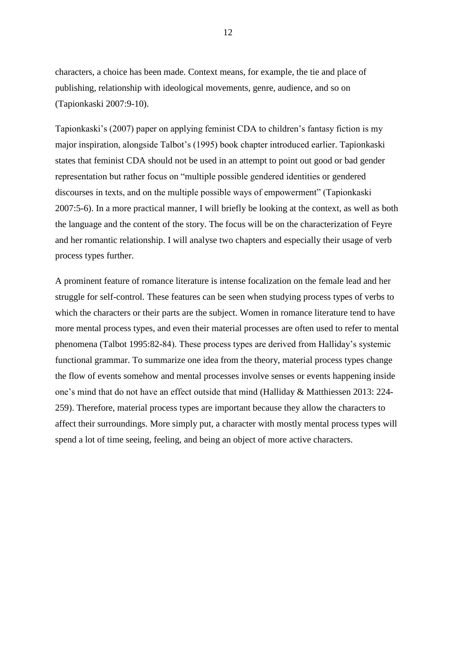characters, a choice has been made. Context means, for example, the tie and place of publishing, relationship with ideological movements, genre, audience, and so on (Tapionkaski 2007:9-10).

Tapionkaski's (2007) paper on applying feminist CDA to children's fantasy fiction is my major inspiration, alongside Talbot's (1995) book chapter introduced earlier. Tapionkaski states that feminist CDA should not be used in an attempt to point out good or bad gender representation but rather focus on "multiple possible gendered identities or gendered discourses in texts, and on the multiple possible ways of empowerment" (Tapionkaski 2007:5-6). In a more practical manner, I will briefly be looking at the context, as well as both the language and the content of the story. The focus will be on the characterization of Feyre and her romantic relationship. I will analyse two chapters and especially their usage of verb process types further.

A prominent feature of romance literature is intense focalization on the female lead and her struggle for self-control. These features can be seen when studying process types of verbs to which the characters or their parts are the subject. Women in romance literature tend to have more mental process types, and even their material processes are often used to refer to mental phenomena (Talbot 1995:82-84). These process types are derived from Halliday's systemic functional grammar. To summarize one idea from the theory, material process types change the flow of events somehow and mental processes involve senses or events happening inside one's mind that do not have an effect outside that mind (Halliday & Matthiessen 2013: 224- 259). Therefore, material process types are important because they allow the characters to affect their surroundings. More simply put, a character with mostly mental process types will spend a lot of time seeing, feeling, and being an object of more active characters.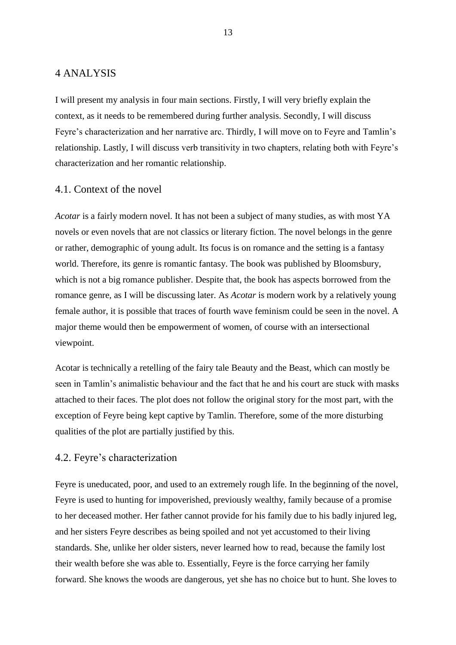## <span id="page-13-0"></span>4 ANALYSIS

I will present my analysis in four main sections. Firstly, I will very briefly explain the context, as it needs to be remembered during further analysis. Secondly, I will discuss Feyre's characterization and her narrative arc. Thirdly, I will move on to Feyre and Tamlin's relationship. Lastly, I will discuss verb transitivity in two chapters, relating both with Feyre's characterization and her romantic relationship.

# <span id="page-13-1"></span>4.1. Context of the novel

*Acotar* is a fairly modern novel. It has not been a subject of many studies, as with most YA novels or even novels that are not classics or literary fiction. The novel belongs in the genre or rather, demographic of young adult. Its focus is on romance and the setting is a fantasy world. Therefore, its genre is romantic fantasy. The book was published by Bloomsbury, which is not a big romance publisher. Despite that, the book has aspects borrowed from the romance genre, as I will be discussing later. As *Acotar* is modern work by a relatively young female author, it is possible that traces of fourth wave feminism could be seen in the novel. A major theme would then be empowerment of women, of course with an intersectional viewpoint.

Acotar is technically a retelling of the fairy tale Beauty and the Beast, which can mostly be seen in Tamlin's animalistic behaviour and the fact that he and his court are stuck with masks attached to their faces. The plot does not follow the original story for the most part, with the exception of Feyre being kept captive by Tamlin. Therefore, some of the more disturbing qualities of the plot are partially justified by this.

## <span id="page-13-2"></span>4.2. Feyre's characterization

Feyre is uneducated, poor, and used to an extremely rough life. In the beginning of the novel, Feyre is used to hunting for impoverished, previously wealthy, family because of a promise to her deceased mother. Her father cannot provide for his family due to his badly injured leg, and her sisters Feyre describes as being spoiled and not yet accustomed to their living standards. She, unlike her older sisters, never learned how to read, because the family lost their wealth before she was able to. Essentially, Feyre is the force carrying her family forward. She knows the woods are dangerous, yet she has no choice but to hunt. She loves to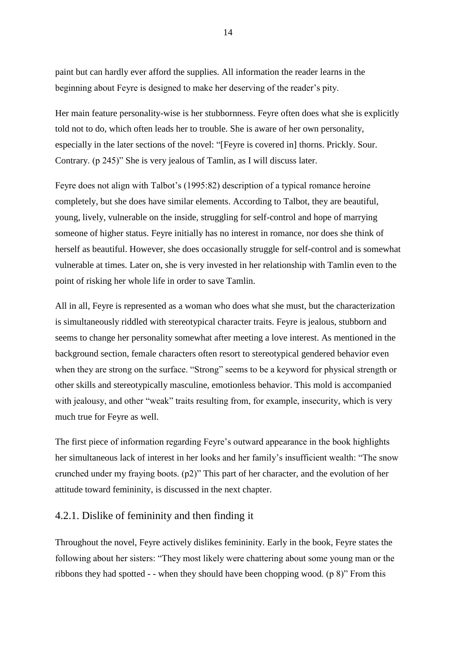Her main feature personality-wise is her stubbornness. Feyre often does what she is explicitly told not to do, which often leads her to trouble. She is aware of her own personality, especially in the later sections of the novel: "[Feyre is covered in] thorns. Prickly. Sour. Contrary. (p 245)" She is very jealous of Tamlin, as I will discuss later.

Feyre does not align with Talbot's (1995:82) description of a typical romance heroine completely, but she does have similar elements. According to Talbot, they are beautiful, young, lively, vulnerable on the inside, struggling for self-control and hope of marrying someone of higher status. Feyre initially has no interest in romance, nor does she think of herself as beautiful. However, she does occasionally struggle for self-control and is somewhat vulnerable at times. Later on, she is very invested in her relationship with Tamlin even to the point of risking her whole life in order to save Tamlin.

All in all, Feyre is represented as a woman who does what she must, but the characterization is simultaneously riddled with stereotypical character traits. Feyre is jealous, stubborn and seems to change her personality somewhat after meeting a love interest. As mentioned in the background section, female characters often resort to stereotypical gendered behavior even when they are strong on the surface. "Strong" seems to be a keyword for physical strength or other skills and stereotypically masculine, emotionless behavior. This mold is accompanied with jealousy, and other "weak" traits resulting from, for example, insecurity, which is very much true for Feyre as well.

The first piece of information regarding Feyre's outward appearance in the book highlights her simultaneous lack of interest in her looks and her family's insufficient wealth: "The snow crunched under my fraying boots. (p2)" This part of her character, and the evolution of her attitude toward femininity, is discussed in the next chapter.

# <span id="page-14-0"></span>4.2.1. Dislike of femininity and then finding it

Throughout the novel, Feyre actively dislikes femininity. Early in the book, Feyre states the following about her sisters: "They most likely were chattering about some young man or the ribbons they had spotted - - when they should have been chopping wood. (p 8)" From this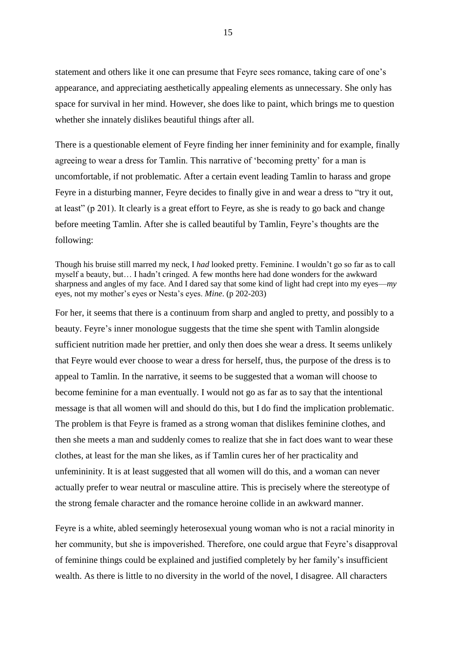statement and others like it one can presume that Feyre sees romance, taking care of one's appearance, and appreciating aesthetically appealing elements as unnecessary. She only has space for survival in her mind. However, she does like to paint, which brings me to question whether she innately dislikes beautiful things after all.

There is a questionable element of Feyre finding her inner femininity and for example, finally agreeing to wear a dress for Tamlin. This narrative of 'becoming pretty' for a man is uncomfortable, if not problematic. After a certain event leading Tamlin to harass and grope Feyre in a disturbing manner, Feyre decides to finally give in and wear a dress to "try it out, at least" (p 201). It clearly is a great effort to Feyre, as she is ready to go back and change before meeting Tamlin. After she is called beautiful by Tamlin, Feyre's thoughts are the following:

Though his bruise still marred my neck, I *had* looked pretty. Feminine. I wouldn't go so far as to call myself a beauty, but… I hadn't cringed. A few months here had done wonders for the awkward sharpness and angles of my face. And I dared say that some kind of light had crept into my eyes—*my* eyes, not my mother's eyes or Nesta's eyes. *Mine*. (p 202-203)

For her, it seems that there is a continuum from sharp and angled to pretty, and possibly to a beauty. Feyre's inner monologue suggests that the time she spent with Tamlin alongside sufficient nutrition made her prettier, and only then does she wear a dress. It seems unlikely that Feyre would ever choose to wear a dress for herself, thus, the purpose of the dress is to appeal to Tamlin. In the narrative, it seems to be suggested that a woman will choose to become feminine for a man eventually. I would not go as far as to say that the intentional message is that all women will and should do this, but I do find the implication problematic. The problem is that Feyre is framed as a strong woman that dislikes feminine clothes, and then she meets a man and suddenly comes to realize that she in fact does want to wear these clothes, at least for the man she likes, as if Tamlin cures her of her practicality and unfemininity. It is at least suggested that all women will do this, and a woman can never actually prefer to wear neutral or masculine attire. This is precisely where the stereotype of the strong female character and the romance heroine collide in an awkward manner.

Feyre is a white, abled seemingly heterosexual young woman who is not a racial minority in her community, but she is impoverished. Therefore, one could argue that Feyre's disapproval of feminine things could be explained and justified completely by her family's insufficient wealth. As there is little to no diversity in the world of the novel, I disagree. All characters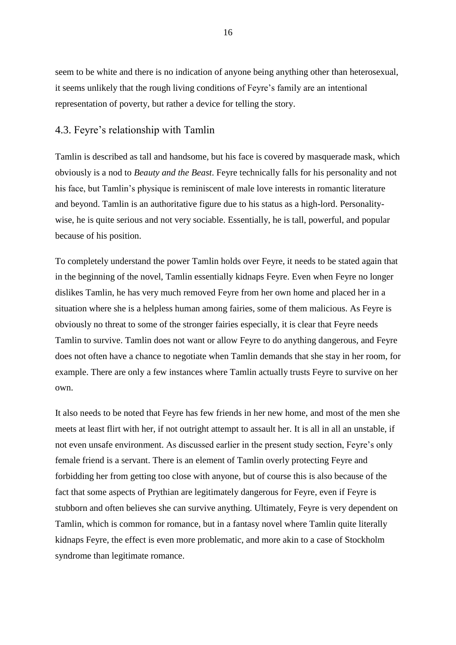seem to be white and there is no indication of anyone being anything other than heterosexual, it seems unlikely that the rough living conditions of Feyre's family are an intentional representation of poverty, but rather a device for telling the story.

# <span id="page-16-0"></span>4.3. Feyre's relationship with Tamlin

Tamlin is described as tall and handsome, but his face is covered by masquerade mask, which obviously is a nod to *Beauty and the Beast*. Feyre technically falls for his personality and not his face, but Tamlin's physique is reminiscent of male love interests in romantic literature and beyond. Tamlin is an authoritative figure due to his status as a high-lord. Personalitywise, he is quite serious and not very sociable. Essentially, he is tall, powerful, and popular because of his position.

To completely understand the power Tamlin holds over Feyre, it needs to be stated again that in the beginning of the novel, Tamlin essentially kidnaps Feyre. Even when Feyre no longer dislikes Tamlin, he has very much removed Feyre from her own home and placed her in a situation where she is a helpless human among fairies, some of them malicious. As Feyre is obviously no threat to some of the stronger fairies especially, it is clear that Feyre needs Tamlin to survive. Tamlin does not want or allow Feyre to do anything dangerous, and Feyre does not often have a chance to negotiate when Tamlin demands that she stay in her room, for example. There are only a few instances where Tamlin actually trusts Feyre to survive on her own.

It also needs to be noted that Feyre has few friends in her new home, and most of the men she meets at least flirt with her, if not outright attempt to assault her. It is all in all an unstable, if not even unsafe environment. As discussed earlier in the present study section, Feyre's only female friend is a servant. There is an element of Tamlin overly protecting Feyre and forbidding her from getting too close with anyone, but of course this is also because of the fact that some aspects of Prythian are legitimately dangerous for Feyre, even if Feyre is stubborn and often believes she can survive anything. Ultimately, Feyre is very dependent on Tamlin, which is common for romance, but in a fantasy novel where Tamlin quite literally kidnaps Feyre, the effect is even more problematic, and more akin to a case of Stockholm syndrome than legitimate romance.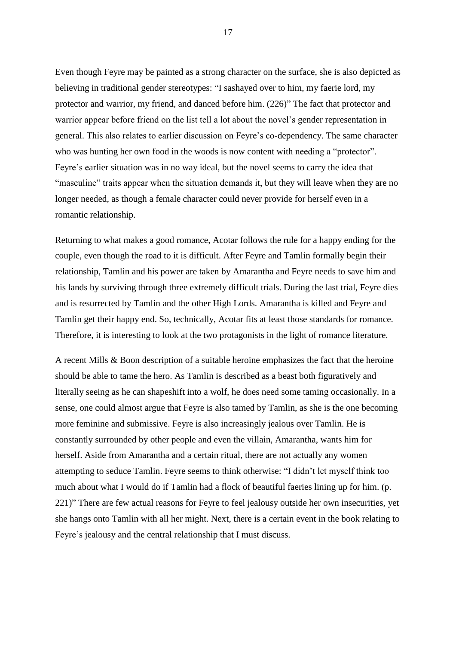Even though Feyre may be painted as a strong character on the surface, she is also depicted as believing in traditional gender stereotypes: "I sashayed over to him, my faerie lord, my protector and warrior, my friend, and danced before him. (226)" The fact that protector and warrior appear before friend on the list tell a lot about the novel's gender representation in general. This also relates to earlier discussion on Feyre's co-dependency. The same character who was hunting her own food in the woods is now content with needing a "protector". Feyre's earlier situation was in no way ideal, but the novel seems to carry the idea that "masculine" traits appear when the situation demands it, but they will leave when they are no longer needed, as though a female character could never provide for herself even in a romantic relationship.

Returning to what makes a good romance, Acotar follows the rule for a happy ending for the couple, even though the road to it is difficult. After Feyre and Tamlin formally begin their relationship, Tamlin and his power are taken by Amarantha and Feyre needs to save him and his lands by surviving through three extremely difficult trials. During the last trial, Feyre dies and is resurrected by Tamlin and the other High Lords. Amarantha is killed and Feyre and Tamlin get their happy end. So, technically, Acotar fits at least those standards for romance. Therefore, it is interesting to look at the two protagonists in the light of romance literature.

A recent Mills & Boon description of a suitable heroine emphasizes the fact that the heroine should be able to tame the hero. As Tamlin is described as a beast both figuratively and literally seeing as he can shapeshift into a wolf, he does need some taming occasionally. In a sense, one could almost argue that Feyre is also tamed by Tamlin, as she is the one becoming more feminine and submissive. Feyre is also increasingly jealous over Tamlin. He is constantly surrounded by other people and even the villain, Amarantha, wants him for herself. Aside from Amarantha and a certain ritual, there are not actually any women attempting to seduce Tamlin. Feyre seems to think otherwise: "I didn't let myself think too much about what I would do if Tamlin had a flock of beautiful faeries lining up for him. (p. 221)" There are few actual reasons for Feyre to feel jealousy outside her own insecurities, yet she hangs onto Tamlin with all her might. Next, there is a certain event in the book relating to Feyre's jealousy and the central relationship that I must discuss.

17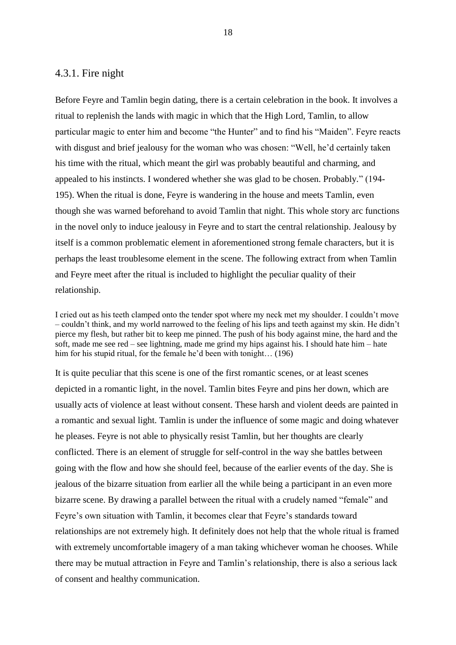## <span id="page-18-0"></span>4.3.1. Fire night

Before Feyre and Tamlin begin dating, there is a certain celebration in the book. It involves a ritual to replenish the lands with magic in which that the High Lord, Tamlin, to allow particular magic to enter him and become "the Hunter" and to find his "Maiden". Feyre reacts with disgust and brief jealousy for the woman who was chosen: "Well, he'd certainly taken his time with the ritual, which meant the girl was probably beautiful and charming, and appealed to his instincts. I wondered whether she was glad to be chosen. Probably." (194- 195). When the ritual is done, Feyre is wandering in the house and meets Tamlin, even though she was warned beforehand to avoid Tamlin that night. This whole story arc functions in the novel only to induce jealousy in Feyre and to start the central relationship. Jealousy by itself is a common problematic element in aforementioned strong female characters, but it is perhaps the least troublesome element in the scene. The following extract from when Tamlin and Feyre meet after the ritual is included to highlight the peculiar quality of their relationship.

I cried out as his teeth clamped onto the tender spot where my neck met my shoulder. I couldn't move – couldn't think, and my world narrowed to the feeling of his lips and teeth against my skin. He didn't pierce my flesh, but rather bit to keep me pinned. The push of his body against mine, the hard and the soft, made me see red – see lightning, made me grind my hips against his. I should hate him – hate him for his stupid ritual, for the female he'd been with tonight... (196)

It is quite peculiar that this scene is one of the first romantic scenes, or at least scenes depicted in a romantic light, in the novel. Tamlin bites Feyre and pins her down, which are usually acts of violence at least without consent. These harsh and violent deeds are painted in a romantic and sexual light. Tamlin is under the influence of some magic and doing whatever he pleases. Feyre is not able to physically resist Tamlin, but her thoughts are clearly conflicted. There is an element of struggle for self-control in the way she battles between going with the flow and how she should feel, because of the earlier events of the day. She is jealous of the bizarre situation from earlier all the while being a participant in an even more bizarre scene. By drawing a parallel between the ritual with a crudely named "female" and Feyre's own situation with Tamlin, it becomes clear that Feyre's standards toward relationships are not extremely high. It definitely does not help that the whole ritual is framed with extremely uncomfortable imagery of a man taking whichever woman he chooses. While there may be mutual attraction in Feyre and Tamlin's relationship, there is also a serious lack of consent and healthy communication.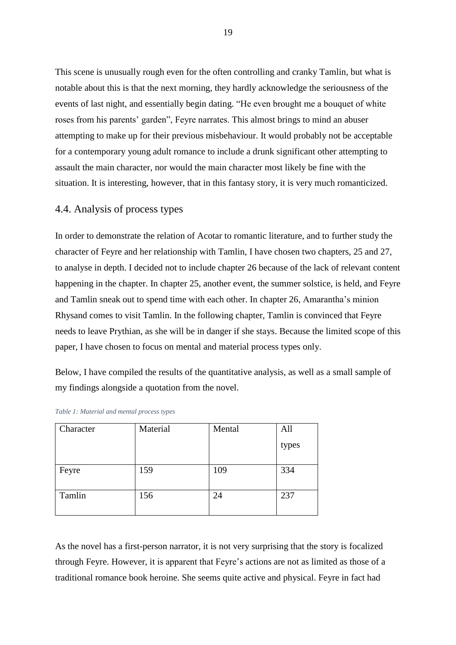This scene is unusually rough even for the often controlling and cranky Tamlin, but what is notable about this is that the next morning, they hardly acknowledge the seriousness of the events of last night, and essentially begin dating. "He even brought me a bouquet of white roses from his parents' garden", Feyre narrates. This almost brings to mind an abuser attempting to make up for their previous misbehaviour. It would probably not be acceptable for a contemporary young adult romance to include a drunk significant other attempting to assault the main character, nor would the main character most likely be fine with the situation. It is interesting, however, that in this fantasy story, it is very much romanticized.

# <span id="page-19-0"></span>4.4. Analysis of process types

In order to demonstrate the relation of Acotar to romantic literature, and to further study the character of Feyre and her relationship with Tamlin, I have chosen two chapters, 25 and 27, to analyse in depth. I decided not to include chapter 26 because of the lack of relevant content happening in the chapter. In chapter 25, another event, the summer solstice, is held, and Feyre and Tamlin sneak out to spend time with each other. In chapter 26, Amarantha's minion Rhysand comes to visit Tamlin. In the following chapter, Tamlin is convinced that Feyre needs to leave Prythian, as she will be in danger if she stays. Because the limited scope of this paper, I have chosen to focus on mental and material process types only.

Below, I have compiled the results of the quantitative analysis, as well as a small sample of my findings alongside a quotation from the novel.

| Character | Material | Mental | All   |
|-----------|----------|--------|-------|
|           |          |        | types |
| Feyre     | 159      | 109    | 334   |
| Tamlin    | 156      | 24     | 237   |

|  |  | Table 1: Material and mental process types |  |  |  |  |
|--|--|--------------------------------------------|--|--|--|--|
|--|--|--------------------------------------------|--|--|--|--|

As the novel has a first-person narrator, it is not very surprising that the story is focalized through Feyre. However, it is apparent that Feyre's actions are not as limited as those of a traditional romance book heroine. She seems quite active and physical. Feyre in fact had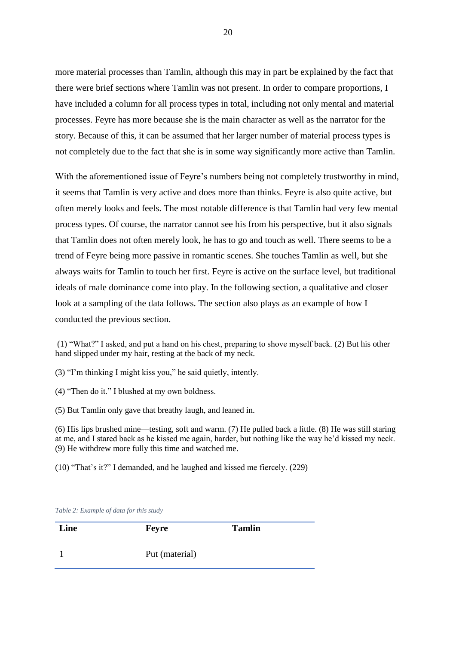more material processes than Tamlin, although this may in part be explained by the fact that there were brief sections where Tamlin was not present. In order to compare proportions, I have included a column for all process types in total, including not only mental and material processes. Feyre has more because she is the main character as well as the narrator for the story. Because of this, it can be assumed that her larger number of material process types is not completely due to the fact that she is in some way significantly more active than Tamlin.

With the aforementioned issue of Feyre's numbers being not completely trustworthy in mind, it seems that Tamlin is very active and does more than thinks. Feyre is also quite active, but often merely looks and feels. The most notable difference is that Tamlin had very few mental process types. Of course, the narrator cannot see his from his perspective, but it also signals that Tamlin does not often merely look, he has to go and touch as well. There seems to be a trend of Feyre being more passive in romantic scenes. She touches Tamlin as well, but she always waits for Tamlin to touch her first. Feyre is active on the surface level, but traditional ideals of male dominance come into play. In the following section, a qualitative and closer look at a sampling of the data follows. The section also plays as an example of how I conducted the previous section.

(1) "What?" I asked, and put a hand on his chest, preparing to shove myself back. (2) But his other hand slipped under my hair, resting at the back of my neck.

(3) "I'm thinking I might kiss you," he said quietly, intently.

(4) "Then do it." I blushed at my own boldness.

(5) But Tamlin only gave that breathy laugh, and leaned in.

(6) His lips brushed mine—testing, soft and warm. (7) He pulled back a little. (8) He was still staring at me, and I stared back as he kissed me again, harder, but nothing like the way he'd kissed my neck. (9) He withdrew more fully this time and watched me.

(10) "That's it?" I demanded, and he laughed and kissed me fiercely. (229)

| Line | <b>Feyre</b>   | <b>Tamlin</b> |
|------|----------------|---------------|
|      | Put (material) |               |
|      |                |               |

*Table 2: Example of data for this study*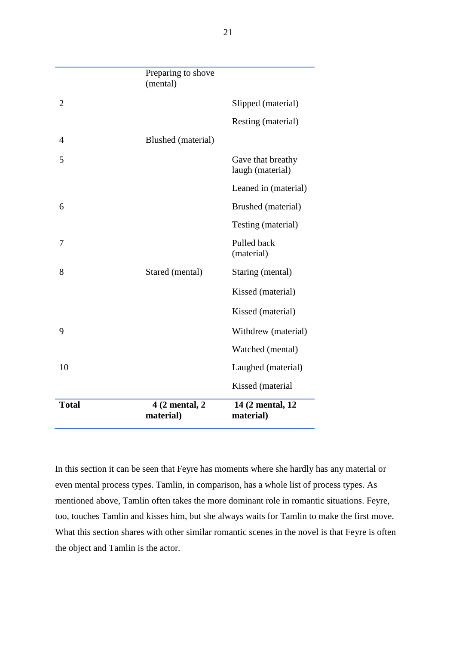|                | Preparing to shove<br>(mental) |                                       |
|----------------|--------------------------------|---------------------------------------|
| $\overline{2}$ |                                | Slipped (material)                    |
|                |                                | Resting (material)                    |
| 4              | Blushed (material)             |                                       |
| 5              |                                | Gave that breathy<br>laugh (material) |
|                |                                | Leaned in (material)                  |
| 6              |                                | Brushed (material)                    |
|                |                                | Testing (material)                    |
| 7              |                                | Pulled back<br>(material)             |
| 8              | Stared (mental)                | Staring (mental)                      |
|                |                                | Kissed (material)                     |
|                |                                | Kissed (material)                     |
| 9              |                                | Withdrew (material)                   |
|                |                                | Watched (mental)                      |
| 10             |                                | Laughed (material)                    |
|                |                                | Kissed (material                      |
| <b>Total</b>   | 4 (2 mental, 2)<br>material)   | 14 (2 mental, 12)<br>material)        |

In this section it can be seen that Feyre has moments where she hardly has any material or even mental process types. Tamlin, in comparison, has a whole list of process types. As mentioned above, Tamlin often takes the more dominant role in romantic situations. Feyre, too, touches Tamlin and kisses him, but she always waits for Tamlin to make the first move. What this section shares with other similar romantic scenes in the novel is that Feyre is often the object and Tamlin is the actor.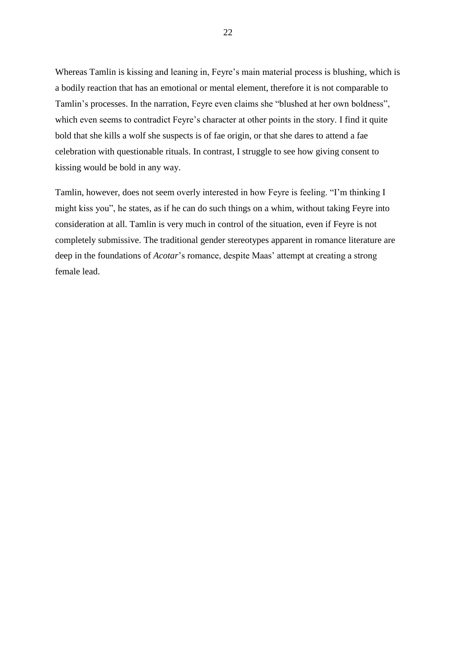Whereas Tamlin is kissing and leaning in, Feyre's main material process is blushing, which is a bodily reaction that has an emotional or mental element, therefore it is not comparable to Tamlin's processes. In the narration, Feyre even claims she "blushed at her own boldness", which even seems to contradict Feyre's character at other points in the story. I find it quite bold that she kills a wolf she suspects is of fae origin, or that she dares to attend a fae celebration with questionable rituals. In contrast, I struggle to see how giving consent to kissing would be bold in any way.

Tamlin, however, does not seem overly interested in how Feyre is feeling. "I'm thinking I might kiss you", he states, as if he can do such things on a whim, without taking Feyre into consideration at all. Tamlin is very much in control of the situation, even if Feyre is not completely submissive. The traditional gender stereotypes apparent in romance literature are deep in the foundations of *Acotar*'s romance, despite Maas' attempt at creating a strong female lead.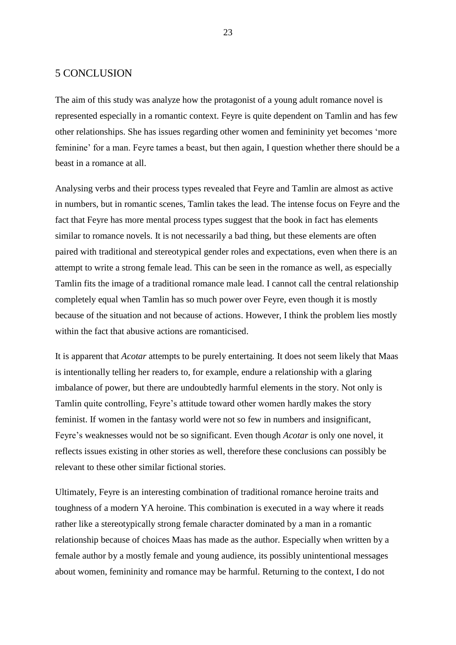## <span id="page-23-0"></span>5 CONCLUSION

The aim of this study was analyze how the protagonist of a young adult romance novel is represented especially in a romantic context. Feyre is quite dependent on Tamlin and has few other relationships. She has issues regarding other women and femininity yet becomes 'more feminine' for a man. Feyre tames a beast, but then again, I question whether there should be a beast in a romance at all.

Analysing verbs and their process types revealed that Feyre and Tamlin are almost as active in numbers, but in romantic scenes, Tamlin takes the lead. The intense focus on Feyre and the fact that Feyre has more mental process types suggest that the book in fact has elements similar to romance novels. It is not necessarily a bad thing, but these elements are often paired with traditional and stereotypical gender roles and expectations, even when there is an attempt to write a strong female lead. This can be seen in the romance as well, as especially Tamlin fits the image of a traditional romance male lead. I cannot call the central relationship completely equal when Tamlin has so much power over Feyre, even though it is mostly because of the situation and not because of actions. However, I think the problem lies mostly within the fact that abusive actions are romanticised.

It is apparent that *Acotar* attempts to be purely entertaining. It does not seem likely that Maas is intentionally telling her readers to, for example, endure a relationship with a glaring imbalance of power, but there are undoubtedly harmful elements in the story. Not only is Tamlin quite controlling, Feyre's attitude toward other women hardly makes the story feminist. If women in the fantasy world were not so few in numbers and insignificant, Feyre's weaknesses would not be so significant. Even though *Acotar* is only one novel, it reflects issues existing in other stories as well, therefore these conclusions can possibly be relevant to these other similar fictional stories.

Ultimately, Feyre is an interesting combination of traditional romance heroine traits and toughness of a modern YA heroine. This combination is executed in a way where it reads rather like a stereotypically strong female character dominated by a man in a romantic relationship because of choices Maas has made as the author. Especially when written by a female author by a mostly female and young audience, its possibly unintentional messages about women, femininity and romance may be harmful. Returning to the context, I do not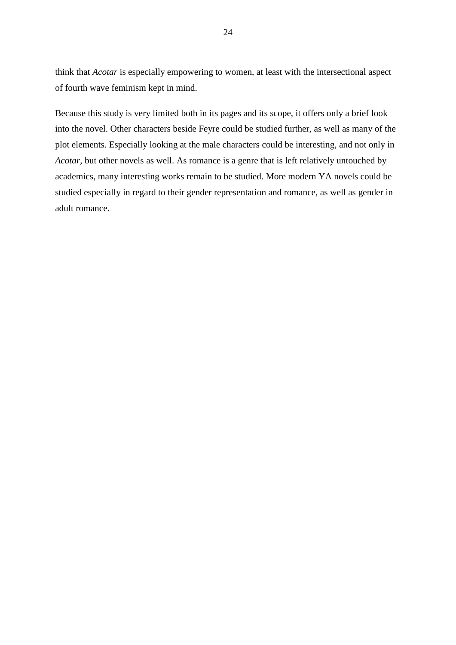think that *Acotar* is especially empowering to women, at least with the intersectional aspect of fourth wave feminism kept in mind.

Because this study is very limited both in its pages and its scope, it offers only a brief look into the novel. Other characters beside Feyre could be studied further, as well as many of the plot elements. Especially looking at the male characters could be interesting, and not only in *Acotar*, but other novels as well. As romance is a genre that is left relatively untouched by academics, many interesting works remain to be studied. More modern YA novels could be studied especially in regard to their gender representation and romance, as well as gender in adult romance.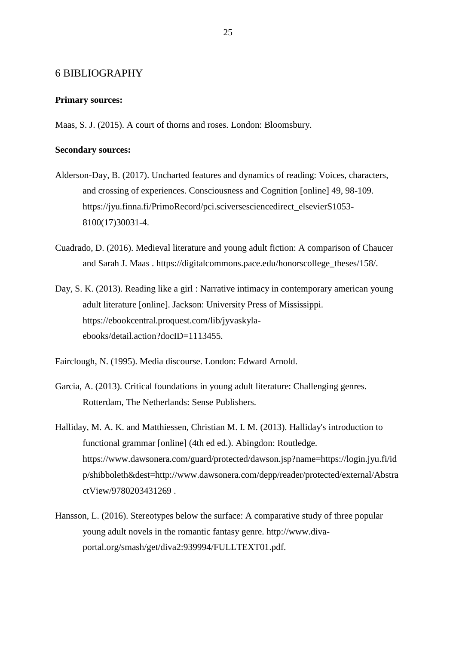## <span id="page-25-0"></span>6 BIBLIOGRAPHY

#### **Primary sources:**

Maas, S. J. (2015). A court of thorns and roses. London: Bloomsbury.

#### **Secondary sources:**

- Alderson-Day, B. (2017). Uncharted features and dynamics of reading: Voices, characters, and crossing of experiences. Consciousness and Cognition [online] 49, 98-109. https://jyu.finna.fi/PrimoRecord/pci.sciversesciencedirect\_elsevierS1053- 8100(17)30031-4.
- Cuadrado, D. (2016). Medieval literature and young adult fiction: A comparison of Chaucer and Sarah J. Maas . https://digitalcommons.pace.edu/honorscollege\_theses/158/.
- Day, S. K. (2013). Reading like a girl : Narrative intimacy in contemporary american young adult literature [online]. Jackson: University Press of Mississippi. https://ebookcentral.proquest.com/lib/jyvaskylaebooks/detail.action?docID=1113455.
- Fairclough, N. (1995). Media discourse. London: Edward Arnold.
- Garcia, A. (2013). Critical foundations in young adult literature: Challenging genres. Rotterdam, The Netherlands: Sense Publishers.
- Halliday, M. A. K. and Matthiessen, Christian M. I. M. (2013). Halliday's introduction to functional grammar [online] (4th ed ed.). Abingdon: Routledge. https://www.dawsonera.com/guard/protected/dawson.jsp?name=https://login.jyu.fi/id p/shibboleth&dest=http://www.dawsonera.com/depp/reader/protected/external/Abstra ctView/9780203431269 .
- Hansson, L. (2016). Stereotypes below the surface: A comparative study of three popular young adult novels in the romantic fantasy genre. http://www.divaportal.org/smash/get/diva2:939994/FULLTEXT01.pdf.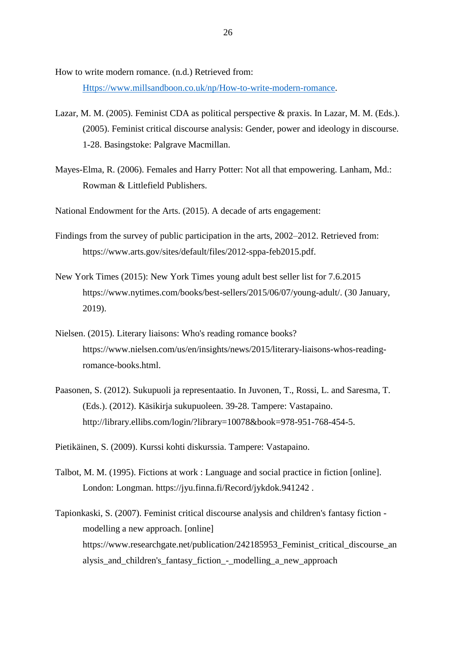How to write modern romance. (n.d.) Retrieved from:

[Https://www.millsandboon.co.uk/np/How-to-write-modern-romance.](https://www.millsandboon.co.uk/np/How-to-write-modern-romance)

- Lazar, M. M. (2005). Feminist CDA as political perspective & praxis. In Lazar, M. M. (Eds.). (2005). Feminist critical discourse analysis: Gender, power and ideology in discourse. 1-28. Basingstoke: Palgrave Macmillan.
- Mayes-Elma, R. (2006). Females and Harry Potter: Not all that empowering. Lanham, Md.: Rowman & Littlefield Publishers.

National Endowment for the Arts. (2015). A decade of arts engagement:

- Findings from the survey of public participation in the arts, 2002–2012. Retrieved from: https://www.arts.gov/sites/default/files/2012-sppa-feb2015.pdf.
- New York Times (2015): New York Times young adult best seller list for 7.6.2015 https://www.nytimes.com/books/best-sellers/2015/06/07/young-adult/. (30 January, 2019).
- Nielsen. (2015). Literary liaisons: Who's reading romance books? https://www.nielsen.com/us/en/insights/news/2015/literary-liaisons-whos-readingromance-books.html.
- Paasonen, S. (2012). Sukupuoli ja representaatio. In Juvonen, T., Rossi, L. and Saresma, T. (Eds.). (2012). Käsikirja sukupuoleen. 39-28. Tampere: Vastapaino. http://library.ellibs.com/login/?library=10078&book=978-951-768-454-5.

Pietikäinen, S. (2009). Kurssi kohti diskurssia. Tampere: Vastapaino.

- Talbot, M. M. (1995). Fictions at work : Language and social practice in fiction [online]. London: Longman. https://jyu.finna.fi/Record/jykdok.941242 .
- Tapionkaski, S. (2007). Feminist critical discourse analysis and children's fantasy fiction modelling a new approach. [online] https://www.researchgate.net/publication/242185953\_Feminist\_critical\_discourse\_an alysis and children's fantasy fiction - modelling a new approach